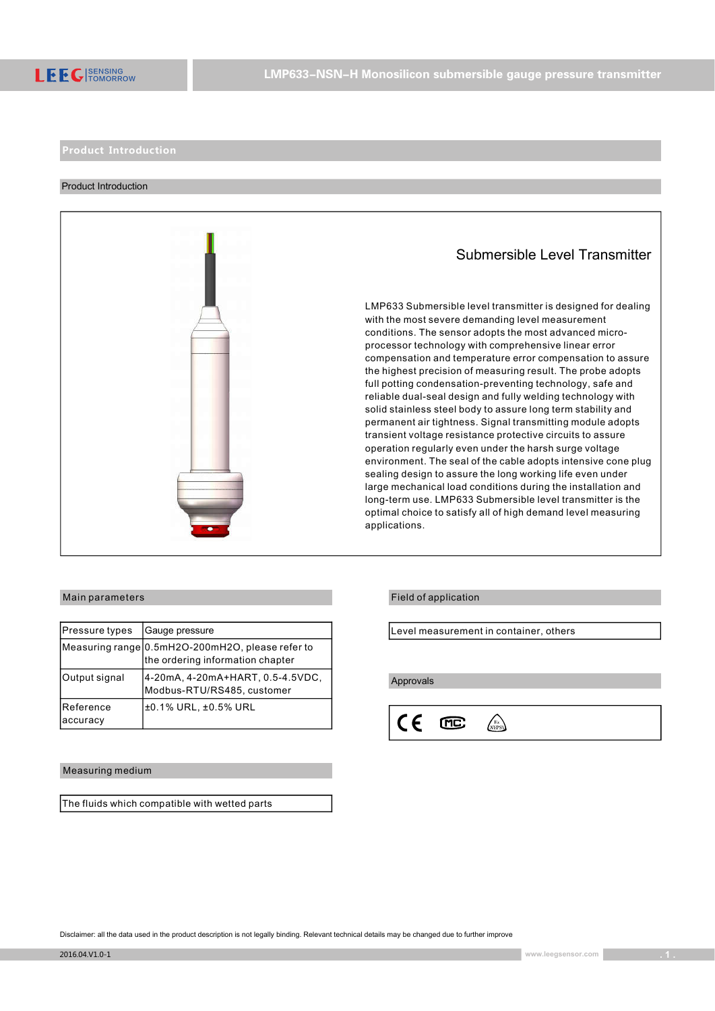

#### Product Introduction



| Pressure types        | Gauge pressure                                                                       |
|-----------------------|--------------------------------------------------------------------------------------|
|                       | Measuring range 0.5mH2O-200mH2O, please refer to<br>the ordering information chapter |
| Output signal         | 4-20mA, 4-20mA+HART, 0.5-4.5VDC,<br>Modbus-RTU/RS485, customer                       |
| Reference<br>accuracy | ±0.1% URL, ±0.5% URL                                                                 |

#### Measuring medium

The fluids which compatible with wetted parts

# Submersible Level Transmitter

LMP633 Submersible level transmitter is designed for dealing with the most severe demanding level measurement conditions. The sensor adopts the most advanced microprocessor technology with comprehensive linear error compensation and temperature error compensation to assure the highest precision of measuring result. The probe adopts full potting condensation-preventing technology, safe and reliable dual-seal design and fully welding technology with solid stainless steel body to assure long term stability and permanent air tightness. Signal transmitting module adopts transient voltage resistance protective circuits to assure operation regularly even under the harsh surge voltage environment. The seal of the cable adopts intensive cone plug sealing design to assure the long working life even under large mechanical load conditions during the installation and long-term use. LMP633 Submersible level transmitter is the optimal choice to satisfy all of high demand level measuring applications.

## Main parameters **Field of application**

Level measurement in container, others

Approvals

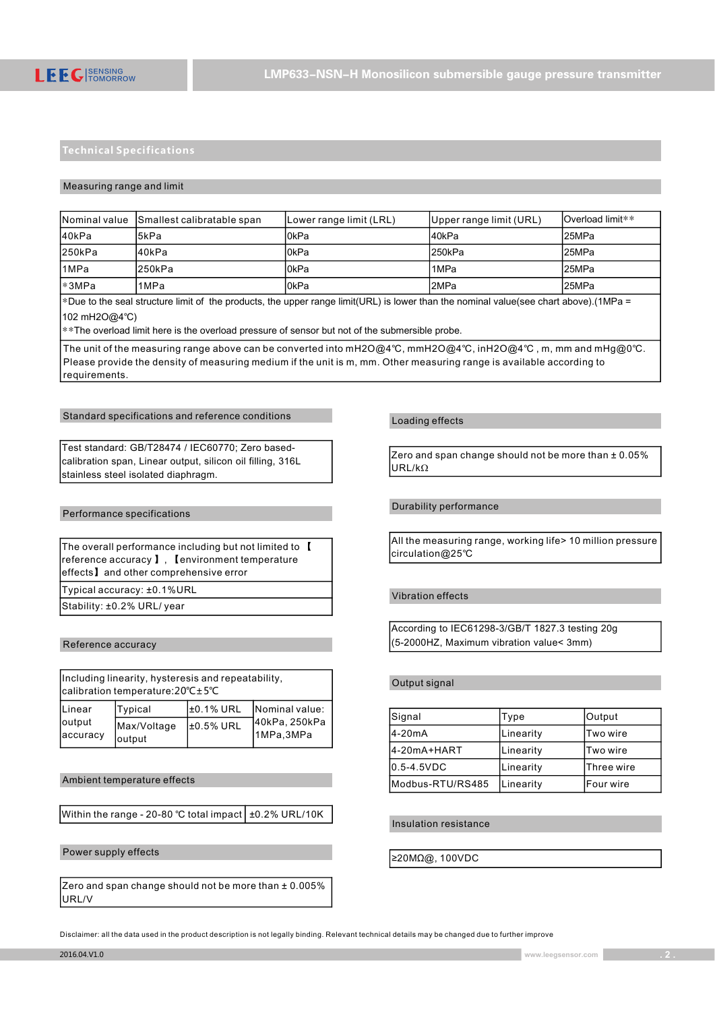#### Measuring range and limit

|        | Nominal value Smallest calibratable span | Lower range limit (LRL) | (Upper range limit (URL) | lOverload limit** |
|--------|------------------------------------------|-------------------------|--------------------------|-------------------|
| l40kPa | l5kPa                                    | l0kPa                   | l40kPa                   | l25MPa            |
| 250kPa | l40kPa                                   | l0kPa                   | l250kPa                  | l25MPa            |
| l1MPa  | l250kPa                                  | l0kPa                   | 1MPa                     | l25MPa            |
| l*3MPa | 1MPa                                     | l0kPa                   | l2MPa                    | l25MPa            |

\*Due to the seal structure limit of the products, the upper range limit(URL) is lower than the nominal value(see chart above).(1MPa = 102 mH2O@4℃)

\*\*The overload limit here is the overload pressure of sensor but not of the submersible probe.

The unit of the measuring range above can be converted into mH2O@4℃, mmH2O@4℃, inH2O@4℃ , m, mm and mHg@0℃. Please provide the density of measuring medium if the unit is m, mm. Other measuring range is available according to requirements.

#### Standard specifications and reference conditions

Test standard: GB/T28474 / IEC60770; Zero basedcalibration span, Linear output, silicon oil filling, 316L stainless steel isolated diaphragm.

#### Performance specifications

| The overall performance including but not limited to [ |  |
|--------------------------------------------------------|--|
| reference accuracy 1. Cenvironment temperature         |  |
| effects] and other comprehensive error                 |  |
| Typical accuracy: ±0.1% URL                            |  |
| Stability: ±0.2% URL/year                              |  |

Reference accuracy

| Including linearity, hysteresis and repeatability,<br> calibration temperature:20°C±5°C |                       |            |                             |
|-----------------------------------------------------------------------------------------|-----------------------|------------|-----------------------------|
| Linear                                                                                  | Typical               | l±0.1% URL | Nominal value:              |
| output<br>accuracy                                                                      | Max/Voltage<br>output | ±0.5% URL  | 140kPa, 250kPa<br>1MPa,3MPa |

#### Ambient temperature effects

Within the range - 20-80 ℃ total impact  $\pm$  0.2% URL/10K

#### Power supply effects

Zero and span change should not be more than ± 0.005% URL/V

#### Loading effects

Zero and span change should not be more than ± 0.05% URL/kΩ

## Durability performance

All the measuring range, working life> 10 million pressure circulation@25℃

#### Vibration effects

According to IEC61298-3/GB/T 1827.3 testing 20g (5-2000HZ, Maximum vibration value< 3mm)

#### Output signal

| Signal           | Type      | Output           |
|------------------|-----------|------------------|
| 4-20mA           | Linearity | <b>ITwo wire</b> |
| l4-20mA+HART     | Linearity | lTwo wire        |
| $0.5 - 4.5$ VDC  | Linearity | Three wire       |
| Modbus-RTU/RS485 | Linearity | lFour wire       |

#### Insulation resistance

≥20MΩ@, 100VDC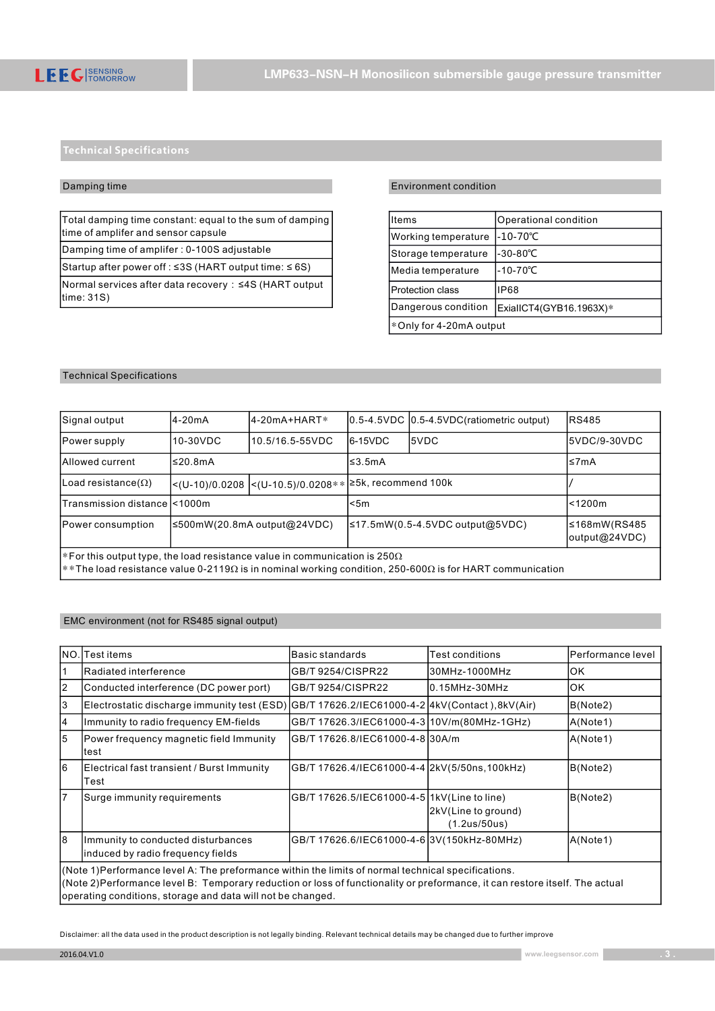### Damping time

Total damping time constant: equal to the sum of damping time of amplifer and sensor capsule

Damping time of amplifer : 0-100S adjustable

Startup after power off : ≤3S (HART output time: ≤ 6S)

Normal services after data recovery: ≤4S (HART output  $\vert$ time: 31S)

## Environment condition

| Items                   | Operational condition   |  |
|-------------------------|-------------------------|--|
| Working temperature     | $-10-70^{\circ}$ C      |  |
| Storage temperature     | $-30 - 80^{\circ}C$     |  |
| Media temperature       | $-10-70^{\circ}$ C      |  |
| <b>Protection class</b> | <b>IP68</b>             |  |
| Dangerous condition     | ExialICT4(GYB16.1963X)* |  |
| *Only for 4-20mA output |                         |  |

## Technical Specifications

| Signal output                                                                                                                                                                                      | l4-20mA  | 4-20mA+HART*                                           |            | 0.5-4.5VDC 0.5-4.5VDC (ratiometric output) | <b>RS485</b>                  |
|----------------------------------------------------------------------------------------------------------------------------------------------------------------------------------------------------|----------|--------------------------------------------------------|------------|--------------------------------------------|-------------------------------|
| Power supply                                                                                                                                                                                       | 10-30VDC | 10.5/16.5-55VDC                                        | $16-15VDC$ | I5VDC                                      | I5VDC/9-30VDC                 |
| Allowed current                                                                                                                                                                                    | l≤20.8mA |                                                        | l≤3.5mA    |                                            | l≤7mA                         |
| Load resistance( $\Omega$ )                                                                                                                                                                        |          | <(U-10)/0.0208  <(U-10.5)/0.0208** 25k, recommend 100k |            |                                            |                               |
| ITransmission distance I<1000m                                                                                                                                                                     |          | l<5m                                                   |            | l<1200m                                    |                               |
| Power consumption<br> ≤500mW(20.8mA output@24VDC)                                                                                                                                                  |          |                                                        |            | ≤17.5mW(0.5-4.5VDC output@5VDC)            | 5168mW(RS485<br>output@24VDC) |
| $ *$ For this output type, the load resistance value in communication is 250 $\Omega$<br>$*$ The load resistance value 0-2119Ω is in nominal working condition, 250-600Ω is for HART communication |          |                                                        |            |                                            |                               |

#### EMC environment (not for RS485 signal output)

| INO.           | Test items                                                                                                                                                                                                                                                                                        | Basic standards                                 | Test conditions                     | lPerformance level |  |
|----------------|---------------------------------------------------------------------------------------------------------------------------------------------------------------------------------------------------------------------------------------------------------------------------------------------------|-------------------------------------------------|-------------------------------------|--------------------|--|
|                | Radiated interference                                                                                                                                                                                                                                                                             | GB/T 9254/CISPR22                               | 30MHz-1000MHz                       | lok                |  |
| $\overline{2}$ | Conducted interference (DC power port)                                                                                                                                                                                                                                                            | GB/T 9254/CISPR22                               | 0.15MHz-30MHz                       | IOK                |  |
| 3              | Electrostatic discharge immunity test (ESD)                                                                                                                                                                                                                                                       | GB/T 17626.2/IEC61000-4-2 4kV(Contact),8kV(Air) |                                     | B(Note2)           |  |
| 4              | Immunity to radio frequency EM-fields                                                                                                                                                                                                                                                             | GB/T 17626.3/IEC61000-4-310V/m(80MHz-1GHz)      |                                     | A(Note1)           |  |
| 5              | Power frequency magnetic field Immunity<br>ltest                                                                                                                                                                                                                                                  | IGB/T 17626.8/IEC61000-4-8130A/m                |                                     | A(Note1)           |  |
| l6             | Electrical fast transient / Burst Immunity<br>Test                                                                                                                                                                                                                                                | GB/T 17626.4/IEC61000-4-4 2kV(5/50ns, 100kHz)   |                                     | B(Note2)           |  |
| $\overline{7}$ | Surge immunity requirements                                                                                                                                                                                                                                                                       | GB/T 17626.5/IEC61000-4-5 1kV(Line to line)     | 2kV(Line to ground)<br>(1.2us/50us) | B(Note2)           |  |
| l8             | Immunity to conducted disturbances<br>induced by radio frequency fields                                                                                                                                                                                                                           | GB/T 17626.6/IEC61000-4-6 3V(150kHz-80MHz)      |                                     | A(Note1)           |  |
|                | (Note 1) Performance level A: The preformance within the limits of normal technical specifications.<br>(Note 2)Performance level B: Temporary reduction or loss of functionality or preformance, it can restore itself. The actual<br>operating conditions, storage and data will not be changed. |                                                 |                                     |                    |  |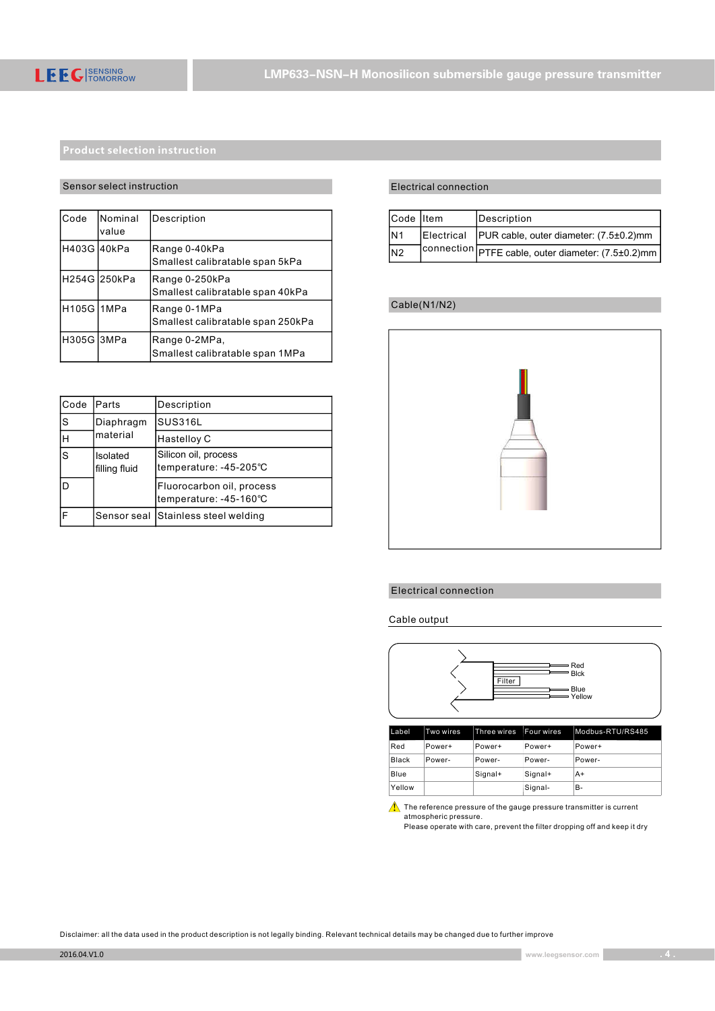## Sensor select instruction

| lCode        | Nominal<br>value | Description                                        |
|--------------|------------------|----------------------------------------------------|
| H403G 40kPa  |                  | Range 0-40kPa<br>Smallest calibratable span 5kPa   |
|              | lH254G l250kPa   | Range 0-250kPa<br>Smallest calibratable span 40kPa |
| lH105G l1MPa |                  | Range 0-1MPa<br>Smallest calibratable span 250kPa  |
| H305G 3MPa   |                  | Range 0-2MPa,<br>Smallest calibratable span 1MPa   |

| lCode | Parts                     | Description                                         |
|-------|---------------------------|-----------------------------------------------------|
| ls    | Diaphragm                 | <b>SUS316L</b>                                      |
| lн    | material                  | Hastelloy C                                         |
| ls    | Isolated<br>filling fluid | Silicon oil, process<br>temperature: -45-205°C      |
| lD    |                           | Fluorocarbon oil, process<br>temperature: -45-160°C |
| lF    | Sensor seal               | Stainless steel welding                             |

## Electrical connection

| Code Item      | Description                                        |
|----------------|----------------------------------------------------|
| N <sub>1</sub> | Electrical PUR cable, outer diameter: (7.5±0.2)mm  |
| N <sub>2</sub> | connection FTFE cable, outer diameter: (7.5±0.2)mm |

## Cable(N1/N2)



## Electrical connection

Cable output



 $\triangle$  The reference pressure of the gauge pressure transmitter is current atmospheric pressure. Please operate with care, prevent the filter dropping off and keep it dry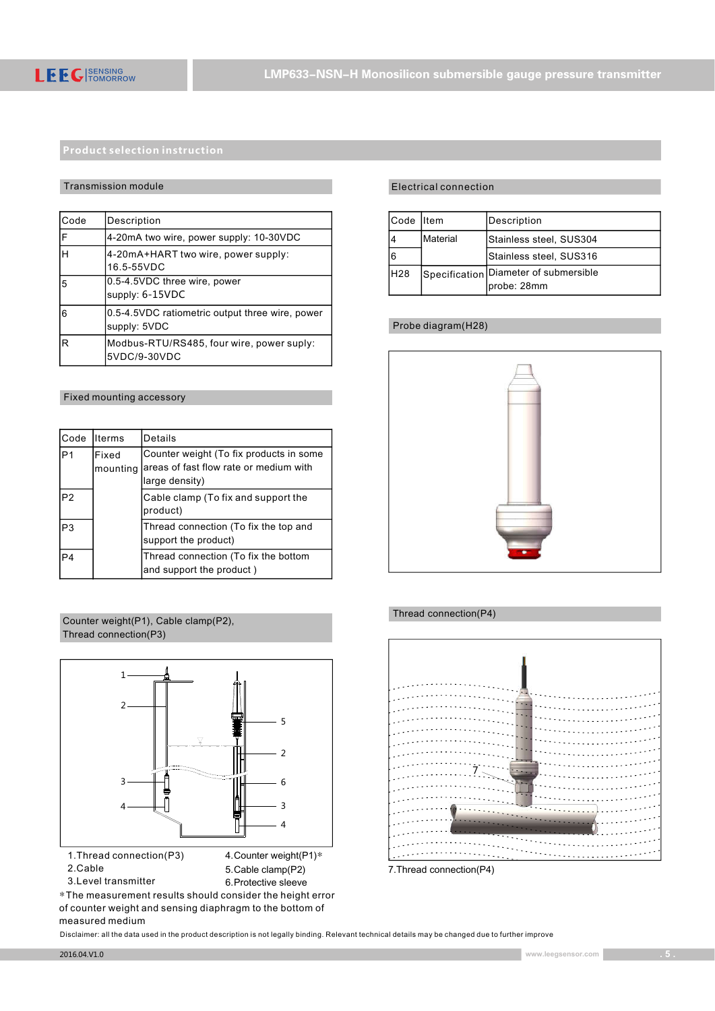### Transmission module

| Code | Description                                                     |
|------|-----------------------------------------------------------------|
| F    | 4-20mA two wire, power supply: 10-30VDC                         |
| lн   | 4-20mA+HART two wire, power supply:<br>16.5-55VDC               |
| 5    | 0.5-4.5VDC three wire, power<br>supply: 6-15VDC                 |
| 6    | 0.5-4.5VDC ratiometric output three wire, power<br>supply: 5VDC |
| R    | Modbus-RTU/RS485, four wire, power suply:<br>5VDC/9-30VDC       |

### Fixed mounting accessory

| Code           | llterms           | Details                                                                                             |
|----------------|-------------------|-----------------------------------------------------------------------------------------------------|
| P <sub>1</sub> | Fixed<br>mounting | Counter weight (To fix products in some<br>areas of fast flow rate or medium with<br>large density) |
| P <sub>2</sub> |                   | Cable clamp (To fix and support the<br>product)                                                     |
| P <sub>3</sub> |                   | Thread connection (To fix the top and<br>support the product)                                       |
| P <sub>4</sub> |                   | Thread connection (To fix the bottom<br>and support the product)                                    |







3.Level transmitter

6.Protective sleeve \*The measurement results should consider the height error of counter weight and sensing diaphragm to the bottom of measured medium

## Electrical connection

| Code Iltem |           | Description                                          |
|------------|-----------|------------------------------------------------------|
|            | IMaterial | Stainless steel, SUS304                              |
| 6          |           | Stainless steel, SUS316                              |
| IH28       |           | Specification Diameter of submersible<br>probe: 28mm |

## Probe diagram(H28)



## Thread connection(P4)



<sup>5.</sup>Cable clamp(P2)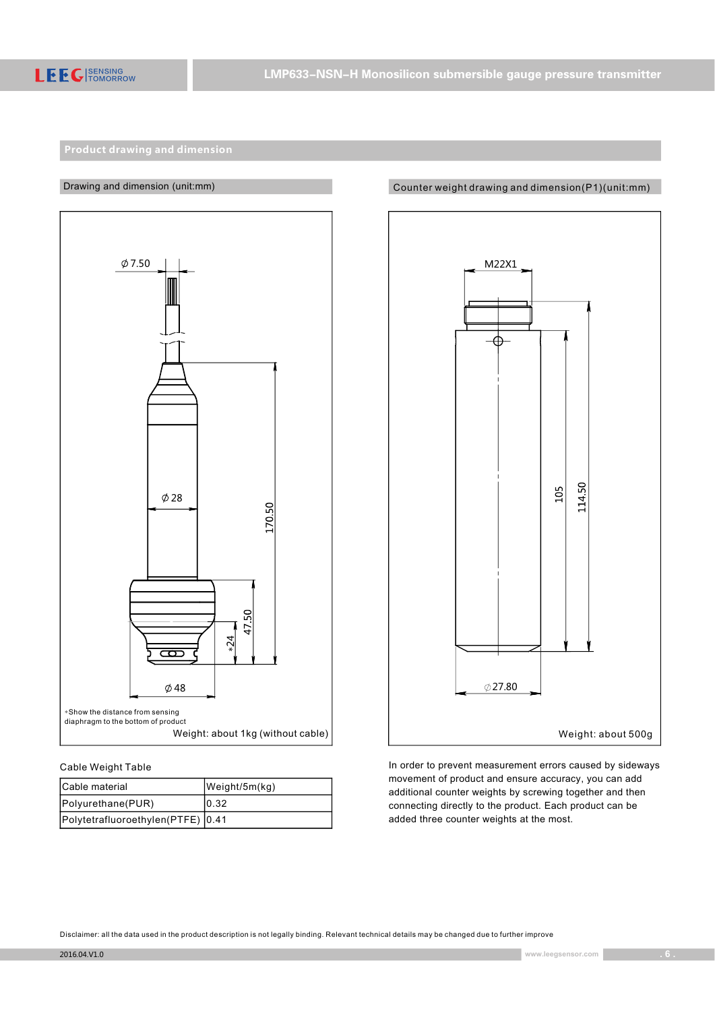



## Cable Weight Table

| Cable material                    | $W$ eight/5m $(kg)$ |
|-----------------------------------|---------------------|
| Polyurethane(PUR)                 | 10.32               |
| Polytetrafluoroethylen(PTFE) 0.41 |                     |

## Counter weight drawing and dimension(P1)(unit:mm)



In order to prevent measurement errors caused by sideways movement of product and ensure accuracy, you can add additional counter weights by screwing together and then connecting directly to the product. Each product can be added three counter weights at the most.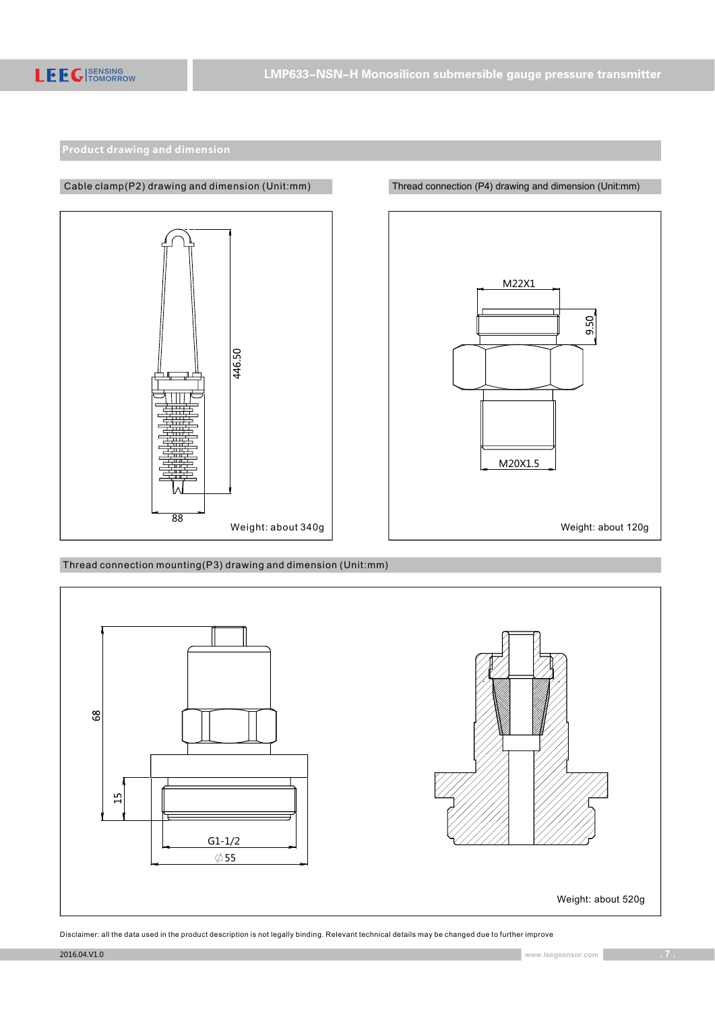

M22X1 9.50 M20X1.5 Weight: about 340g | Neight: about 120g

Thread connection mounting(P3) drawing and dimension (Unit:mm)

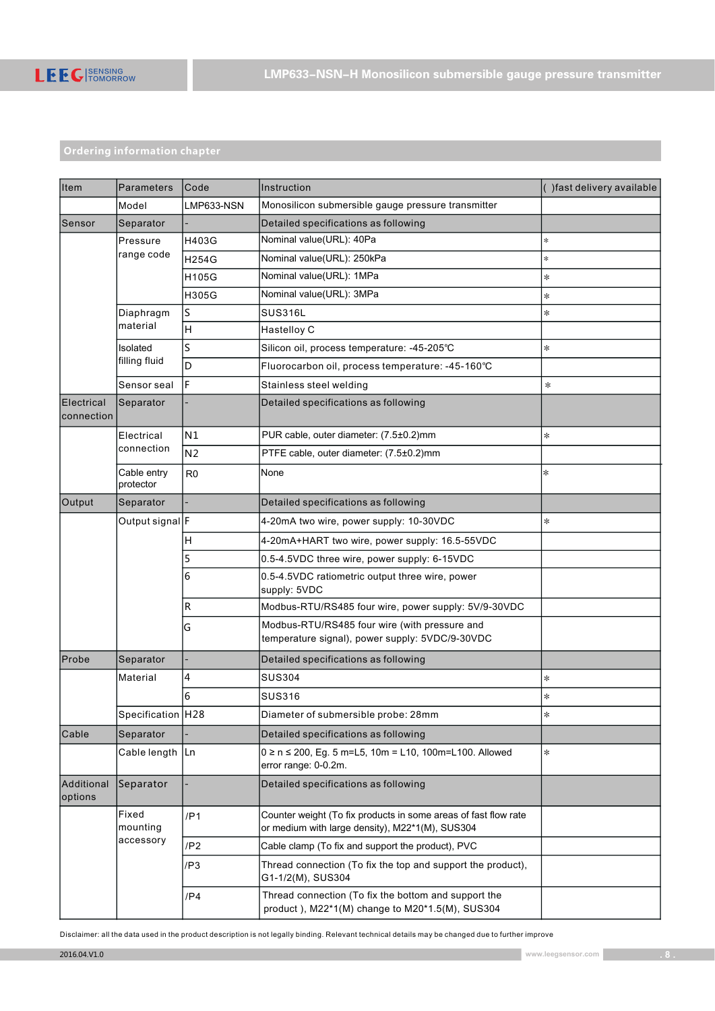

# Ordering information chapter

| lltem                    | Parameters                     | Code            | Instruction                                                                                                        | () fast delivery available |
|--------------------------|--------------------------------|-----------------|--------------------------------------------------------------------------------------------------------------------|----------------------------|
|                          | Model                          | LMP633-NSN      | Monosilicon submersible gauge pressure transmitter                                                                 |                            |
| Sensor                   | Separator                      |                 | Detailed specifications as following                                                                               |                            |
|                          | Pressure                       | H403G           | Nominal value(URL): 40Pa                                                                                           | $\ast$                     |
|                          | range code                     | H254G           | Nominal value(URL): 250kPa                                                                                         | $\ast$                     |
|                          |                                | H105G           | Nominal value(URL): 1MPa                                                                                           | $\ast$                     |
|                          |                                | H305G           | Nominal value(URL): 3MPa                                                                                           | $\ast$                     |
|                          | Diaphragm<br>material          | S               | <b>SUS316L</b>                                                                                                     | $\ast$                     |
|                          |                                | Н               | Hastelloy C                                                                                                        |                            |
|                          | Isolated                       | S               | Silicon oil, process temperature: -45-205°C                                                                        | $\ast$                     |
|                          | filling fluid                  | D               | Fluorocarbon oil, process temperature: -45-160°C                                                                   |                            |
|                          | Sensor seal                    | F               | Stainless steel welding                                                                                            | $\ast$                     |
| Electrical<br>connection | Separator                      |                 | Detailed specifications as following                                                                               |                            |
|                          | Electrical                     | N1              | PUR cable, outer diameter: (7.5±0.2)mm                                                                             | $\ast$                     |
|                          | connection                     | N <sub>2</sub>  | PTFE cable, outer diameter: (7.5±0.2)mm                                                                            |                            |
|                          | Cable entry<br>protector       | R <sub>0</sub>  | None                                                                                                               | $\ast$                     |
| Output                   | Separator                      |                 | Detailed specifications as following                                                                               |                            |
|                          | Output signal F                |                 | 4-20mA two wire, power supply: 10-30VDC                                                                            | $\ast$                     |
|                          |                                | Н               | 4-20mA+HART two wire, power supply: 16.5-55VDC                                                                     |                            |
|                          |                                | 5               | 0.5-4.5VDC three wire, power supply: 6-15VDC                                                                       |                            |
|                          |                                | 6               | 0.5-4.5VDC ratiometric output three wire, power<br>supply: 5VDC                                                    |                            |
|                          |                                | R               | Modbus-RTU/RS485 four wire, power supply: 5V/9-30VDC                                                               |                            |
|                          |                                | G               | Modbus-RTU/RS485 four wire (with pressure and<br>temperature signal), power supply: 5VDC/9-30VDC                   |                            |
| Probe                    | Separator                      |                 | Detailed specifications as following                                                                               |                            |
|                          | Material                       | 4               | <b>SUS304</b>                                                                                                      | $\ast$                     |
|                          |                                | 6               | <b>SUS316</b>                                                                                                      | $\ast$                     |
|                          | Specification H28              |                 | Diameter of submersible probe: 28mm                                                                                | $\ast$                     |
| Cable                    | Separator                      |                 | Detailed specifications as following                                                                               |                            |
|                          | Cable length                   | Ln              | $0 \ge n \le 200$ , Eg. 5 m=L5, 10m = L10, 100m=L100. Allowed<br>error range: 0-0.2m.                              | $\ast$                     |
| Additional<br>options    | Separator                      |                 | Detailed specifications as following                                                                               |                            |
|                          | Fixed<br>mounting<br>accessory | /P1             | Counter weight (To fix products in some areas of fast flow rate<br>or medium with large density), M22*1(M), SUS304 |                            |
|                          |                                | /P <sub>2</sub> | Cable clamp (To fix and support the product), PVC                                                                  |                            |
|                          |                                | /P3             | Thread connection (To fix the top and support the product).<br>G1-1/2(M), SUS304                                   |                            |
|                          |                                | /P4             | Thread connection (To fix the bottom and support the<br>product), M22*1(M) change to M20*1.5(M), SUS304            |                            |